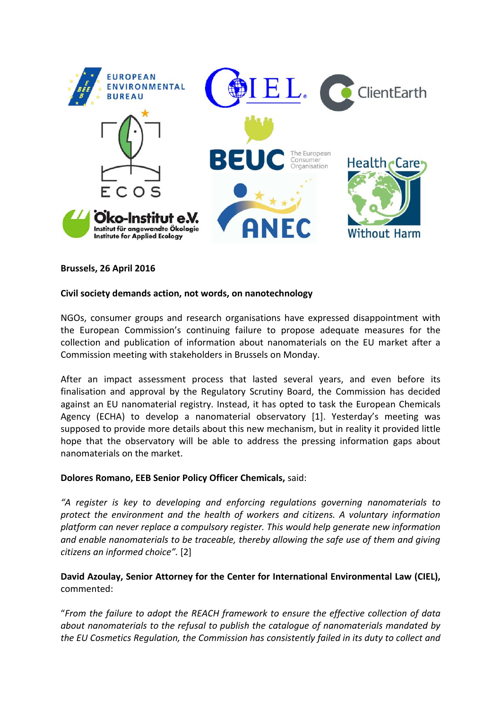

#### **Brussels, 26 April 2016**

#### **Civil society demands action, not words, on nanotechnology**

NGOs, consumer groups and research organisations have expressed disappointment with the European Commission's continuing failure to propose adequate measures for the collection and publication of information about nanomaterials on the EU market after a Commission meeting with stakeholders in Brussels on Monday.

After an impact assessment process that lasted several years, and even before its finalisation and approval by the Regulatory Scrutiny Board, the Commission has decided against an EU nanomaterial registry. Instead, it has opted to task the European Chemicals Agency (ECHA) to develop a nanomaterial observatory [1]. Yesterday's meeting was supposed to provide more details about this new mechanism, but in reality it provided little hope that the observatory will be able to address the pressing information gaps about nanomaterials on the market.

#### **Dolores Romano, EEB Senior Policy Officer Chemicals,** said:

*"A register is key to developing and enforcing regulations governing nanomaterials to protect the environment and the health of workers and citizens. A voluntary information platform can never replace a compulsory register. This would help generate new information and enable nanomaterials to be traceable, thereby allowing the safe use of them and giving citizens an informed choice".* [2]

## **David Azoulay, Senior Attorney for the Center for International Environmental Law (CIEL),** commented:

"*From the failure to adopt the REACH framework to ensure the effective collection of data about nanomaterials to the refusal to publish the catalogue of nanomaterials mandated by the EU Cosmetics Regulation, the Commission has consistently failed in its duty to collect and*